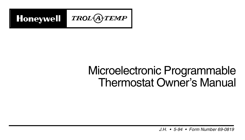

# Microelectronic Programmable Thermostat Owner's Manual

1 69-0819 J.H. • 5-94 • Form Number 69-0819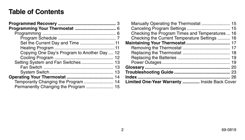### **Table of Contents**

| Set the Current Day and Time  11             |  |
|----------------------------------------------|--|
|                                              |  |
| Copying One Day's Program to Another Day  12 |  |
|                                              |  |
| Setting System and Fan Switches 13           |  |
|                                              |  |
|                                              |  |
|                                              |  |
|                                              |  |
| Permanently Changing the Program  15         |  |
|                                              |  |

| Manually Operating the Thermostat  15           |
|-------------------------------------------------|
|                                                 |
| Checking the Program Times and Temperatures  16 |
| Checking the Current Temperature Settings  16   |
|                                                 |
|                                                 |
|                                                 |
|                                                 |
|                                                 |
|                                                 |
|                                                 |
|                                                 |
| Limited One-Year Warranty  Inside Back Cover    |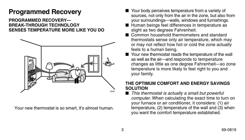# **Programmed Recovery**

### **PROGRAMMED RECOVERY— BREAK-THROUGH TECHNOLOGY SENSES TEMPERATURE MORE LIKE YOU DO**



Your new thermostat is so smart, it's almost human.

- Your body perceives temperature from a variety of sources, not only from the air in the zone, but also from your surroundings—walls, windows and furnishings.
- Human beings feel differences in temperature as slight as two degrees Fahrenheit.
- Common household thermometers and standard thermostats sense only air temperature, which may or may not reflect how hot or cold the zone actually feels to a human being.
- Your new thermostat reads the temperature of the wall as well as the air—and responds to temperature changes as little as one degree Fahrenheit—so zone temperature is more likely to feel right to you and your family.

### **THE OPTIMUM COMFORT AND ENERGY SAVINGS SOLUTION**

This thermostat is actually a small but powerful computer. When calculating the exact time to turn on your furnace or air conditioner, it considers: (1) air temperature, (2) temperature of the wall and (3) when you want the comfort temperature established.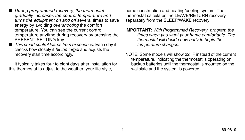- During programmed recovery, the thermostat gradually increases the control temperature and turns the equipment on and off several times to save energy by avoiding overshooting the comfort temperature. You can see the current control temperature anytime during recovery by pressing the PRESENT SETTING key.
- This smart control learns from experience. Each day it checks how closely it hit the target and adjusts the recovery start time accordingly.

It typically takes four to eight days after installation for this thermostat to adjust to the weather, your life style,

home construction and heating/cooling system. The thermostat calculates the LEAVE/RETURN recovery separately from the SLEEP/WAKE recovery.

- **IMPORTANT**: With Programmed Recovery, program the times when you want your home comfortable. The thermostat will decide how early to begin the temperature changes.
- NOTE: Some models will show 32° F instead of the current temperature, indicating the thermostat is operating on backup batteries until the thermostat is mounted on the wallplate and the system is powered.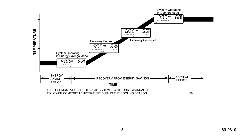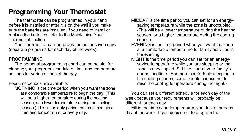# **Programming Your Thermostat**

The thermostat can be programmed in your hand before it is installed or after it is on the wall if you make sure the batteries are installed. If you need to install or replace the batteries, refer to the Maintaining Your Thermostat section.

Your thermostat can be programmed for seven days (separate programs for each day of the week).

### **PROGRAMMING**

The personal programming chart can be helpful for plannng your program schedule of time and temperature settings for various times of the day.

Four time periods are available:

MORNING is the time period when you want the zone at a comfortable temperature to begin the day. (This will be a higher temperature during the heating season, or a lower temperature during the cooling season.) This is the only period that must contain a time and temperature for every day.

- MIDDAY is the time period you can set for an energysaving temperature while the zone is unoccupied. (This will be a lower temperature during the heating season, or a higher temperature during the cooling season.)
- EVENING is the time period when you want the zone at a comfortable temperature for family activities in the evening.
- NIGHT is the time period you can set for an energysaving temperature while you are sleeping or the zone is unoccupied. Set it to start at your family's normal bedtime. (For more comfortable sleeping in the cooling season, some people choose not to raise the cooling temperature during the night.)

You can set a different schedule for each day of the week because your requirements will probably be different for each day.

Fill in the times and temperatures you desire for each day of the week. If you decide not to program the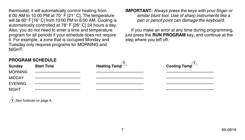thermostat, it will automatically control heating from 6:00 AM to 10:00 PM at 70° F [21° C]. The temperature will be 60° F [16° C] from 10:00 PM to 6:00 AM. Cooling is automatically controlled at 78° F [26° C] 24 hours a day. Also, you do not need to enter a time and temperature program for all periods if your schedule does not require it. For example, a zone that is occupied Monday and Tuesday only requires programs for MORNING and NIGHT.

### **IMPORTANT:** Always press the keys with your finger or similar blunt tool. Use of sharp instruments like a pen or pencil point can damage the keyboard.

If you make an error at any time during programming, just press the **RUN PROGRAM** key, and continue at the step where you left off.

| <b>Start Time</b> | Heating Temp            | Cooling Temp |
|-------------------|-------------------------|--------------|
|                   |                         |              |
|                   |                         |              |
|                   |                         |              |
|                   |                         |              |
|                   | <b>PROGRAM SCHEDULE</b> |              |

**1** See footnote on page 9.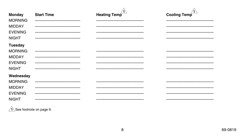| <b>Monday</b><br><b>MORNING</b><br><b>MIDDAY</b><br><b>EVENING</b><br><b>NIGHT</b>  | <b>Start Time</b> | <b>Heating Temp</b> | Cooling Temp |
|-------------------------------------------------------------------------------------|-------------------|---------------------|--------------|
| <b>Tuesday</b><br><b>MORNING</b><br><b>MIDDAY</b><br><b>EVENING</b><br><b>NIGHT</b> |                   |                     |              |
| Wednesday<br><b>MORNING</b><br><b>MIDDAY</b><br><b>EVENING</b><br><b>NIGHT</b>      |                   |                     |              |

 $\hat{1}$ See footnote on page 9.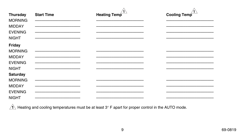| Thursday       | <b>Start Time</b> | Heating Temp | Cooling Temp |
|----------------|-------------------|--------------|--------------|
| <b>MORNING</b> |                   |              |              |
| <b>MIDDAY</b>  |                   |              |              |
| <b>EVENING</b> |                   |              |              |
| <b>NIGHT</b>   |                   |              |              |
| Friday         |                   |              |              |
| <b>MORNING</b> |                   |              |              |
| <b>MIDDAY</b>  |                   |              |              |
| <b>EVENING</b> |                   |              |              |
| <b>NIGHT</b>   |                   |              |              |
| Saturday       |                   |              |              |
| <b>MORNING</b> |                   |              |              |
| <b>MIDDAY</b>  |                   |              |              |
| <b>EVENING</b> |                   |              |              |
| <b>NIGHT</b>   |                   |              |              |

 $\sqrt{1}$  Heating and cooling temperatures must be at least 3° F apart for proper control in the AUTO mode.

 $9\,$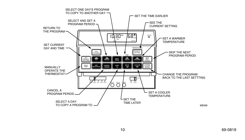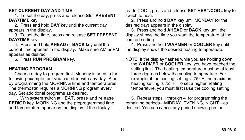### **SET CURRENT DAY AND TIME**

1. To set the day, press and release **SET PRESENT DAY/TIME** key.

2. Press and hold **DAY** key until the current day appears in the display.

3. To set the time, press and release **SET PRESENT DAY/TIME** key.

4. Press and hold **AHEAD** or **BACK** key until the current time appears in the display. Make sure AM or PM appears as desired.

5. Press **RUN PROGRAM** key.

### **HEATING PROGRAM**

Choose a day to program first. Monday is used in the following example, but you can start with any day. Start by programming the MORNING time and temperatures. The thermostat requires a MORNING program every day. Set additional programs as desired.

1. With system switch at HEAT, press and release **PERIOD** key. MORNING and the preprogrammed time and temperature appear on the display. If the display

reads COOL, press and release **SET HEAT/COOL** key to switch to heat.

2. Press and hold **DAY** key until MONDAY (or the desired day) appears in the display.

3. Press and hold **AHEAD** or **BACK** key until the display shows the time you want the temperature at the comfort setting.

4. Press and hold **WARMER** or **COOLER** key until the display shows the desired heating temperature.

NOTE: If the display flashes while you are holding down the **WARMER** or **COOLER** key, you have reached the setting limit. The heating temperature must be at least three degrees below the cooling temperature. For example, if the cooling setting is 75° F, the maximum heating setting is 72° F. To set a higher heating temperature, you must first raise the cooling setting.

5. Repeat steps 1 through 4 for programming the remaining periods—MIDDAY, EVENING, NIGHT—as desired. You can cancel any period showing on the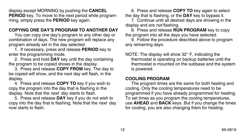display except MORNING by pushing the **CANCEL PERIOD** key. To move to the next period while programming, simply press the **PERIOD** key again.

### **COPYING ONE DAY'S PROGRAM TO ANOTHER DAY**

You can copy one day's program to any other day or combination of days. The new program will replace any program already set in the day selected.

1. If necessary, press and release **PERIOD** key to enter the programming mode.

2. Press and hold **DAY** key until the day containing the program to be copied shows in the display.

3. Press and release **COPY FROM** key. The day to be copied will show, and the next day will flash, in the display.

4. Press and release **COPY TO** key if you wish to copy the program into the day that is flashing in the display. Note that the next day starts to flash.

5. Press and release **DAY** key if you do not wish to copy into the day that is flashing. Note that the next day now starts to flash.

6. Press and release **COPY TO** key again to select the day that is flashing, or the **DAY** key to bypass it.

7. Continue until all desired days are showing in the display and are *not* flashing.

8. Press and release **RUN PROGRAM** key to copy the program into all the days you have selected.

9. Follow the procedure described above to program any remaining days.

NOTE: The display will show 32° F, indicating the thermostat is operating on backup batteries until the thermostat is mounted on the subbase and the system is powered.

### **COOLING PROGRAM**

The program times are the same for both heating and cooling. Only the cooling temperatures need to be programmed if you have already programmed for heating. To set times as you program the cooling temperatures, use **AHEAD** and **BACK** keys. But if you change the times for cooling, you are also changing them for heating.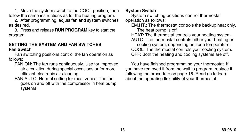1. Move the system switch to the COOL position, then follow the same instructions as for the heating program.

2. After programming, adjust fan and system switches as desired.

3. Press and release **RUN PROGRAM** key to start the program.

### **SETTING THE SYSTEM AND FAN SWITCHES Fan Switch**

Fan switching positions control the fan operation as follows:

- FAN ON: The fan runs continuously. Use for improved air circulation during special occasions or for more efficient electronic air cleaning.
- FAN AUTO: Normal setting for most zones. The fan goes on and off with the compressor in heat pump systems.

### **System Switch**

System switching positions control thermostat operation as follows:

EM.HT.: The thermostat controls the backup heat only. The heat pump is off.

HEAT: The thermostat controls your heating system. AUTO: The thermostat controls either your heating or cooling system, depending on zone temperature. COOL: The thermostat controls your cooling system. OFF: Both the heating and cooling systems are off.

You have finished programming your thermostat. If you have removed it from the wall to program, replace it following the procedure on page 18. Read on to learn about the operating flexibility of your thermostat.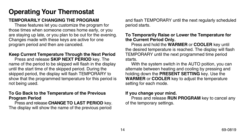# **Operating Your Thermostat**

### **TEMPORARILY CHANGING THE PROGRAM**

These features let you customize the program for those times when someone comes home early, or you are staying up late, or you plan to be out for the evening. Changes made with these keys are active for one program period and then are canceled.

### **Keep Current Temperature Through the Next Period**

Press and release **SKIP NEXT PERIOD** key. The name of the period to be skipped will flash in the display until the start time of the skipped period. During the skipped period, the display will flash TEMPORARY to show that the programmed temperature for this period is not being used.

#### **To Go Back to the Temperature of the Previous Program Period**

Press and release **CHANGE TO LAST PERIOD** key. The display will show the name of the previous period

and flash TEMPORARY until the next regularly scheduled period starts.

### **To Temporarily Raise or Lower the Temperature for the Current Period Only.**

Press and hold the **WARMER** or **COOLER** key until the desired temperature is reached. The display will flash TEMPORARY until the next programmed time period starts.

With the system switch in the AUTO poition, you can alternate between heating and cooling by pressing and holding down the **PRESENT SETTING** key. Use the **WARMER** or **COOLER** key to adjust the temperature setting for each mode.

### **If you change your mind.**

Press and release **RUN PROGRAM** key to cancel any of the temporary settings.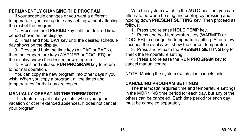### **PERMANENTLY CHANGING THE PROGRAM**

If your scdedule changes or you want a different temperature, you can update any setting without affecting the rest of the program.

1. Press and hold **PERIOD** key until the desired time period shows on the display.

2. Press and hold **DAY** key until the desired schedule day shows on the display.

3. Press and hold the time key (AHEAD or BACK), then the temperature key (WARMER or COOLER) until the display shows the desired new program.

4. Press and release **RUN PROGRAM** key to return to normal operation.

You can copy the new program into other days if you wish. When you copy a program, all the times and temperatures for that day are copied.

### **MANUALLY OPERATING THE THERMOSTAT**

This feature is particularly useful when you go on vacation or other extended absences. It does not cancel your program.

With the system switch in the AUTO position, you can alternate between heating and cooling by pressing and holding down **PRESENT SETTING** key. Then proceed as follows:

1. Press and release **HOLD TEMP** key.

2. Press and hold temperature key (WARMER or COOLER) to change the temperature setting. After a few seconds the display will show the current temperature.

3. Press and release the **PRESENT SETTING** key to check the temperature setting.

4. Press and release the **RUN PROGRAM** key to cancel manual control.

NOTE: Moving the system switch also cancels hold.

### **CANCELING PROGRAM SETTINGS**

The thermostat requires time and temperature settings in the MORNING time period for each day, but any of the others can be canceled. Each time period for each day must be canceled separately.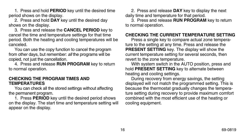1. Press and hold **PERIOD** key until the desired time period shows on the display.

2. Press and hold **DAY** key until the desired day shows on the display.

3. Press and release the **CANCEL PERIOD** key to cancel the time and temperature settings for that time period. Both the heating and cooling temperatures will be canceled.

You can use the copy function to cancel the program from other days, but remember: all the programs will be copied, not just the cancellation.

4. Press and release **RUN PROGRAM** key to return to normal operation.

### **CHECKING THE PROGRAM TIMES AND TEMPERATURES**

You can check all the stored settings without affecting the permanent program.

1. Press **PERIOD** key until the desired period shows on the display. The start time and temperature setting will appear on the display.

2. Press and release **DAY** key to display the next daily time and temperature for that period.

3. Press and release **RUN PROGRAM** key to return to normal operation.

### **CHECKING THE CURRENT TEMPERATURE SETTING**

Press a single key to compare actual zone temperature to the setting at any time. Press and release the **PRESENT SETTING** key. The display will show the current temperature setting for several seconds, then revert to the zone temperature.

With system switch in the AUTO position, press and hold **PRESENT SETTING** key to alternate between heating and cooling settings.

During recovery from energy savings, the setting displayed will not match the programmed setting. This is because the thermostat gradually changes the temperature setting during recovery to provide maximum comfort combined with the most efficient use of the heating or cooling equipment.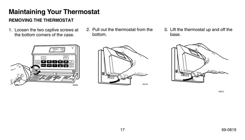# **Maintaining Your Thermostat**

### **REMOVING THE THERMOSTAT**

1. Loosen the two captive screws at the bottom corners of the case.



2. Pull out the thermostat from the bottom.



3. Lift the thermostat up and off the base.



M8370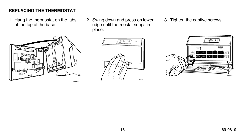### **REPLACING THE THERMOSTAT**

- 1. Hang the thermostat on the tabs at the top of the base.
- 2. Swing down and press on lower edge until thermostat snaps in place.
- 3. Tighten the captive screws.





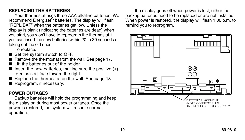### **REPLACING THE BATTERIES**

Your thermostat uses three AAA alkaline batteries. We recommend Energizer<sup>®</sup> batteries. The display will flash "REPL BAT" when the batteries get low. Unless the display is blank (indicating the batteries are dead) when you start, you won't have to reprogram the thermostat if you can insert the new batteries within 20 to 30 seconds of taking out the old ones.

To replace:

- Set the system switch to OFF.
- Remove the thermostat from the wall. See page 17.
- Lift the batteries out of the holder.
- $\blacksquare$  Insert the new batteries, making sure the positive  $(+)$ terminals all face toward the right.
- Replace the thermostat on the wall. See page 18.
- Reprogram, if necessary.

### **POWER OUTAGES**

Backup batteries will hold the programming and keep the display on during most power outages. Once the power is restored, the system will resume normal operation.

If the display goes off when power is lost, either the backup batteries need to be replaced or are not installed. When power is restored, the display will flash 1:00 p.m. to remind you to reprogram.

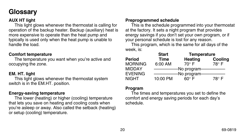# **Glossary**

### **AUX HT light**

This light glows whenever the thermostat is calling for operation of the backup heater. Backup (auxiliary) heat is more expensive to operate than the heat pump and typically is used only when the heat pump is unable to handle the load.

### **Comfort temperature**

The temperature you want when you're active and occupying the zone.

### **EM. HT. light**

This light glows whenever the thermostat system switch is in the EM.HT. position.

### **Energy-saving temperature**

The lower (heating) or higher (cooling) temperature that lets you save on heating and cooling costs when you're asleep or away. Also called the setback (heating) or setup (cooling) temperature.

### **Preprogrammed schedule**

This is the schedule programmed into your thermostat at the factory. It sets a night program that provides energy savings if you don't set your own program, or if your personal schedule is lost for any reason.

This program, which is the same for all days of the week, is:

|                | <b>Start</b> | <b>Temperature</b> |              |
|----------------|--------------|--------------------|--------------|
| Period         | <b>Time</b>  | <b>Heating</b>     | Cooling      |
| Morning        | 6:00 AM      | $70^\circ$ F       | 78° F        |
| MIDDAY         |              | -No program-       |              |
| <b>EVENING</b> |              | -No program-       |              |
| NIGHT          | 10:00 PM     | െ F                | $78^\circ$ F |

#### **Program**

The times and temperatures you set to define the comfort and energy saving periods for each day's schedule.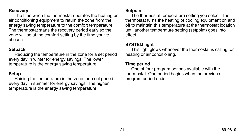#### **Recovery**

The time when the thermostat operates the heating or air conditioning equipment to return the zone from the energy saving temperature to the comfort temperature. The thermostat starts the recovery period early so the zone will be at the comfort setting by the time you've chosen.

### **Setback**

Reducing the temperature in the zone for a set period every day in winter for energy savings. The lower temperature is the energy saving temperature.

### **Setup**

Raising the temperature in the zone for a set period every day in summer for energy savings. The higher temperature is the energy saving temperature.

### **Setpoint**

The thermostat temperature setting you select. The thermostat turns the heating or cooling equipment on and off to maintain this temperature at the thermostat location until another temperature setting (setpoint) goes into effect.

### **SYSTEM light**

This light glows whenever the thermostat is calling for heating or air conditioning.

### **Time period**

One of four program periods available with the thermostat. One period begins when the previous program period ends.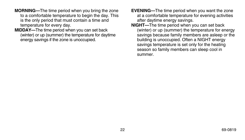- **MORNING—**The time period when you bring the zone to a comfortable temperature to begin the day. This is the only period that must contain a time and temperature for every day.
- **MIDDAY—**The time period when you can set back (winter) or up (summer) the temperature for daytime energy savings if the zone is unoccupied.
- **EVENING—**The time period when you want the zone at a comfortable temperature for evening activities after daytime energy savings.
- **NIGHT—**The time period when you can set back (winter) or up (summer) the temperature for energy savings because family members are asleep or the building is unoccupied. Often a NIGHT energy savings temperature is set only for the heating season so family members can sleep cool in summer.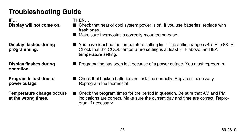# **Troubleshooting Guide**

**IF… THEN…**

**operation.**

- **Display will not come on. ■** Check that heat or cool system power is on. If you use batteries, replace with fresh ones.
	- Make sure thermostat is correctly mounted on base.
- **Display flashes during ■** You have reached the temperature setting limit. The setting range is 45° F to 88° F. **programming.** Check that the COOL temperature setting is at least 3° F above the HEAT temperature setting.
- **Display flashes during ■** Programming has been lost because of a power outage. You must reprogram.
- **Program is lost due to ■** Check that backup batteries are installed correctly. Replace if necessary. **power outage.** Reprogram the thermostat.
- **Temperature change occurs** Check the program times for the period in question. Be sure that AM and PM **at the wrong times.** indications are correct. Make sure the current day and time are correct. Reprogram if necessary.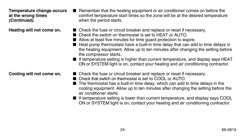**(Continued).** when the period starts.

- **Temperature change occurs** Remember that the heating equipment or air conditioner comes on before the **at the wrong times** comfort temperature start times so the zone will be at the desired temperature
- **Heating will not come on.** Check the fuse or circuit breaker and replace or reset if necessary.
	- Check the switch on thermostat is set to HEAT or AUTO.
	- Allow at least five minutes for time quard protection to expire.
	- Heat pump thermostats have a built-in time delay that can add to time delays in the heating equipment. Allow up to ten minutes after changing the setting before the compressor starts.
	- If temperature setting is higher than current temperature, and display says HEAT ON or SYSTEM light is on, contact your heating and air conditioning contractor.
- **Cooling will not come on.** Check the fuse or circuit breaker and replace or reset if necessary.
	- Check that switch on thermostat is set to COOL or AUTO.
	- The thermostat has a built-in time delay, which can add to time delays in the cooling equipment. Allow up to ten minutes after changing the setting before the air conditioner starts.
	- If temperature setting is lower than current temperature, and display says COOL ON or SYSTEM light is on, contact your heating and air conditioning contractor.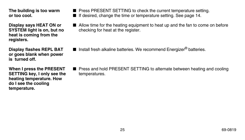**heat is coming from the registers.**

**or goes blank when power is turned off.**

**SETTING key, I only see the** temperatures. **heating temperature. How do I see the cooling temperature.**

**The building is too warm ■** Press PRESENT SETTING to check the current temperature setting.

**or too cool.** ■ If desired, change the time or temperature setting. See page 14.

- **Display says HEAT ON or ■** Allow time for the heating equipment to heat up and the fan to come on before **SYSTEM light is on, but no** checking for heat at the register.
- **Display flashes REPL BAT** Install fresh alkaline batteries. We recommend Energizer<sup>®</sup> batteries.
- **When I press the PRESENT ■** Press and hold PRESENT SETTING to alternate between heating and cooling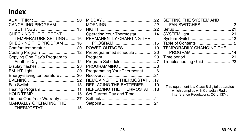### **Index**

| <b>CANCELING PROGRAM</b>      |  |
|-------------------------------|--|
|                               |  |
| <b>CHECKING THE CURRENT</b>   |  |
| TEMPERATURE SETTING 16        |  |
| CHECKING THE PROGRAM 16       |  |
| Comfort temperatur  20        |  |
| Cooling Program  12           |  |
| Copying One Day's Program to  |  |
|                               |  |
| Display flashes 23            |  |
|                               |  |
| Energy-saving temperature 20  |  |
|                               |  |
|                               |  |
| Heating Program  11           |  |
|                               |  |
| Limited One-Year Warranty 27  |  |
| <b>MANUALLY OPERATING THE</b> |  |
| THERMOSTAT 15                 |  |

| Operating Your Thermostat  14       |  |
|-------------------------------------|--|
| PERMANENTLY CHANGING THE            |  |
|                                     |  |
| POWER OUTAGES 19                    |  |
| Preprogrammed schedule 20           |  |
|                                     |  |
|                                     |  |
|                                     |  |
| Programming Your Thermostat  6      |  |
|                                     |  |
| <b>REMOVING THE THERMOSTAT 17</b>   |  |
| REPLACING THE BATTERIES19           |  |
| <b>REPLACING THE THERMOSTAT  18</b> |  |
| Set Current Day and Time  11        |  |
|                                     |  |
|                                     |  |
|                                     |  |

| SETTING THE SYSTEM AND          |  |
|---------------------------------|--|
| FAN SWITCHES13                  |  |
|                                 |  |
|                                 |  |
|                                 |  |
|                                 |  |
| <b>TEMPORARILY CHANGING THE</b> |  |
|                                 |  |
|                                 |  |
|                                 |  |

This equipment is a Class B digital apparatus which complies with Canadian Radio Interference Regulations. CC c 1374.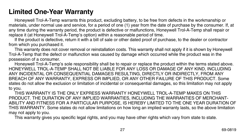### **Limited One-Year Warranty**

Honeywell Trol-A-Temp warrants this product, excluding battery, to be free from defects in the workmanship or materials, under normal use and service, for a period of one (1) year from the date of purchase by the consumer. If, at any time during the warranty period, the product is defective or malfunctions, Honeywell Trol-A-Temp shall repair or replace it (at Honeywell Trol-A-Temp's option) within a reasonable period of time.

If the product is defective, return it with a bill of sale or other dated proof of purchase, to the dealer or contractor from which you purchased it.

This warranty does not cover removal or reinstallation costs. This warranty shall not apply if it is shown by Honeywell Trol-A-Temp that the defect or malfunction was caused by damage which occurred while the product was in the possession of a consumer.

Honeywell Trol-A-Temp's sole responsibility shall be to repair or replace the product within the terms stated above. HONEYWELL TROL-A-TEMP SHALL NOT BE LIABLE FOR ANY LOSS OR DAMAGE OF ANY KIND, INCLUDING ANY INCIDENTAL OR CONSEQUENTIAL DAMAGES RESULTING, DIRECTLY OR INDIRECTLY, FROM ANY BREACH OF ANY WARRANTY, EXPRESS OR IMPLIED, OR ANY OTHER FAILURE OF THIS PRODUCT. Some states do not allow the exclusion or limitation of incidental or consequential damages, so this limitation may not apply to you.

THIS WARRANTY IS THE ONLY EXPRESS WARRANTY HONEYWELL TROL-A-TEMP MAKES ON THIS PRODUCT. THE DURATION OF ANY IMPLIED WARRANTIES, INCLUDING THE WARRANTIES OF MERCHANT-ABILITY AND FITNESS FOR A PARTICULAR PURPOSE, IS HEREBY LIMITED TO THE ONE YEAR DURATION OF THIS WARRANTY. Some states do not allow limitations on how long an implied warranty lasts, so the above limitation may not apply to you.

This warranty gives you specific legal rights, and you may have other rights which vary from state to state.